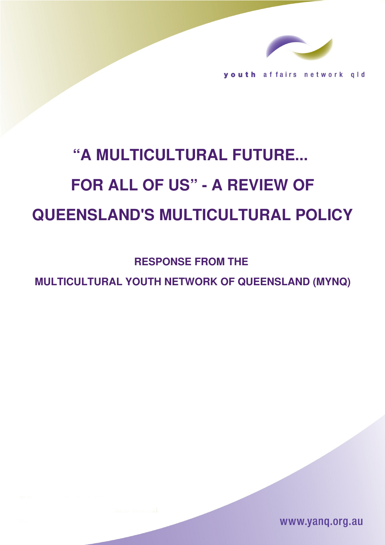

outh affairs network  $q$  |  $d$ 

# **"A MULTICULTURAL FUTURE... FOR ALL OF US" A REVIEW OF QUEENSLAND'S MULTICULTURAL POLICY**

**RESPONSE FROM THE** 

**MULTICULTURAL YOUTH NETWORK OF QUEENSLAND (MYNQ)**

www.yang.org.au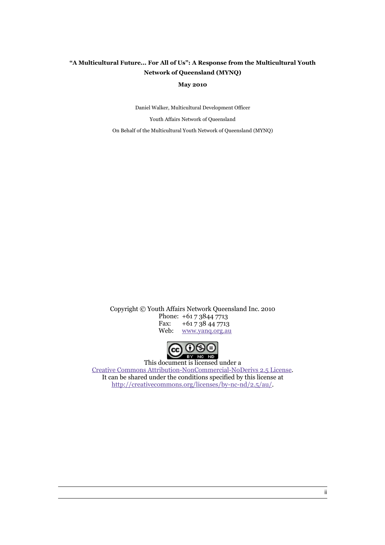#### **"A Multicultural Future... For All of Us": A Response from the Multicultural Youth Network of Queensland (MYNQ)**

**May 2010**

Daniel Walker, Multicultural Development Officer Youth Affairs Network of Queensland

On Behalf of the Multicultural Youth Network of Queensland (MYNQ)

Copyright © Youth Affairs Network Queensland Inc. 2010 Phone:  $+61 7 3844 7713$ <br>Fax:  $+61 7 38 44 7713$ Fax: +61 7 38 44 7713<br>Web: www.yang.org.au [www.yanq.org.au](http://www.yanq.org.au/)



This document is licensed under a [Creative Commons Attribution-NonCommercial-NoDerivs 2.5 License.](http://creativecommons.org/licenses/by-nc-nd/2.5/au/) It can be shared under the conditions specified by this license at [http://creativecommons.org/licenses/by-nc-nd/2.5/au/.](http://creativecommons.org/licenses/by-nc-nd/2.5/au/)

ii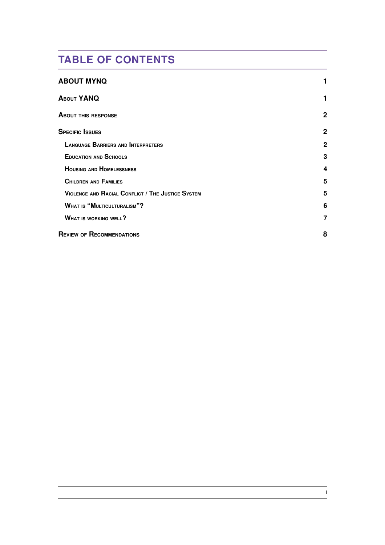# **TABLE OF CONTENTS**

| <b>ABOUT MYNQ</b>                                 |              |
|---------------------------------------------------|--------------|
| <b>ABOUT YANQ</b>                                 |              |
| <b>ABOUT THIS RESPONSE</b>                        | 2            |
| <b>SPECIFIC ISSUES</b>                            | 2            |
| <b>LANGUAGE BARRIERS AND INTERPRETERS</b>         | $\mathbf{2}$ |
| <b>EDUCATION AND SCHOOLS</b>                      | 3            |
| <b>HOUSING AND HOMELESSNESS</b>                   | 4            |
| <b>CHILDREN AND FAMILIES</b>                      | 5            |
| VIOLENCE AND RACIAL CONFLICT / THE JUSTICE SYSTEM | 5            |
| <b>WHAT IS "MULTICULTURALISM"?</b>                | 6            |
| <b>WHAT IS WORKING WELL?</b>                      |              |
| <b>REVIEW OF RECOMMENDATIONS</b>                  | 8            |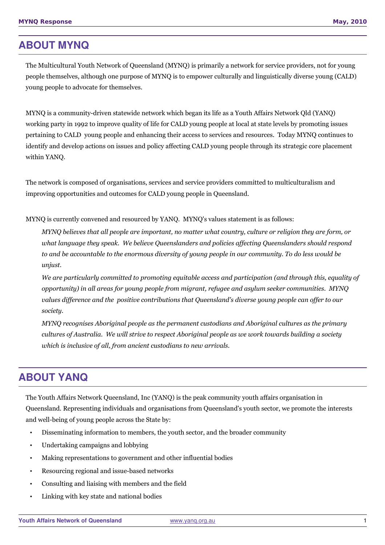### <span id="page-3-0"></span>**ABOUT MYNQ**

The Multicultural Youth Network of Queensland (MYNQ) is primarily a network for service providers, not for young people themselves, although one purpose of MYNQ is to empower culturally and linguistically diverse young (CALD) young people to advocate for themselves.

MYNQ is a community-driven statewide network which began its life as a Youth Affairs Network Qld (YANQ) working party in 1992 to improve quality of life for CALD young people at local at state levels by promoting issues pertaining to CALD young people and enhancing their access to services and resources. Today MYNQ continues to identify and develop actions on issues and policy affecting CALD young people through its strategic core placement within YANQ.

The network is composed of organisations, services and service providers committed to multiculturalism and improving opportunities and outcomes for CALD young people in Queensland.

MYNQ is currently convened and resourced by YANQ. MYNQ's values statement is as follows:

*MYNQ believes that all people are important, no matter what country, culture or religion they are form, or what language they speak. We believe Queenslanders and policies affecting Queenslanders should respond to and be accountable to the enormous diversity of young people in our community. To do less would be unjust.* 

*We are particularly committed to promoting equitable access and participation (and through this, equality of opportunity) in all areas for young people from migrant, refugee and asylum seeker communities. MYNQ values difference and the positive contributions that Queensland's diverse young people can offer to our society.* 

*MYNQ recognises Aboriginal people as the permanent custodians and Aboriginal cultures as the primary cultures of Australia. We will strive to respect Aboriginal people as we work towards building a society which is inclusive of all, from ancient custodians to new arrivals.* 

# <span id="page-3-1"></span>**ABOUT YANQ**

The Youth Affairs Network Queensland, Inc (YANQ) is the peak community youth affairs organisation in Queensland. Representing individuals and organisations from Queensland's youth sector, we promote the interests and well-being of young people across the State by:

- Disseminating information to members, the youth sector, and the broader community
- Undertaking campaigns and lobbying
- Making representations to government and other influential bodies
- Resourcing regional and issue-based networks
- Consulting and liaising with members and the field
- Linking with key state and national bodies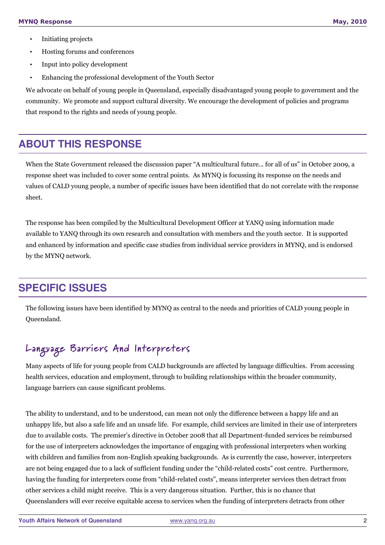- Initiating projects
- Hosting forums and conferences
- Input into policy development
- Enhancing the professional development of the Youth Sector

We advocate on behalf of young people in Queensland, especially disadvantaged young people to government and the community. We promote and support cultural diversity. We encourage the development of policies and programs that respond to the rights and needs of young people.

# <span id="page-4-2"></span>**ABOUT THIS RESPONSE**

When the State Government released the discussion paper "A multicultural future... for all of us" in October 2009, a response sheet was included to cover some central points. As MYNQ is focussing its response on the needs and values of CALD young people, a number of specific issues have been identified that do not correlate with the response sheet.

The response has been compiled by the Multicultural Development Officer at YANQ using information made available to YANQ through its own research and consultation with members and the youth sector. It is supported and enhanced by information and specific case studies from individual service providers in MYNQ, and is endorsed by the MYNQ network.

# <span id="page-4-1"></span>**SPECIFIC ISSUES**

The following issues have been identified by MYNQ as central to the needs and priorities of CALD young people in Queensland.

# <span id="page-4-0"></span>Language Barriers And Interpreters

Many aspects of life for young people from CALD backgrounds are affected by language difficulties. From accessing health services, education and employment, through to building relationships within the broader community, language barriers can cause significant problems.

The ability to understand, and to be understood, can mean not only the difference between a happy life and an unhappy life, but also a safe life and an unsafe life. For example, child services are limited in their use of interpreters due to available costs. The premier's directive in October 2008 that all Department-funded services be reimbursed for the use of interpreters acknowledges the importance of engaging with professional interpreters when working with children and families from non-English speaking backgrounds. As is currently the case, however, interpreters are not being engaged due to a lack of sufficient funding under the "child-related costs" cost centre. Furthermore, having the funding for interpreters come from "child-related costs", means interpreter services then detract from other services a child might receive. This is a very dangerous situation. Further, this is no chance that Queenslanders will ever receive equitable access to services when the funding of interpreters detracts from other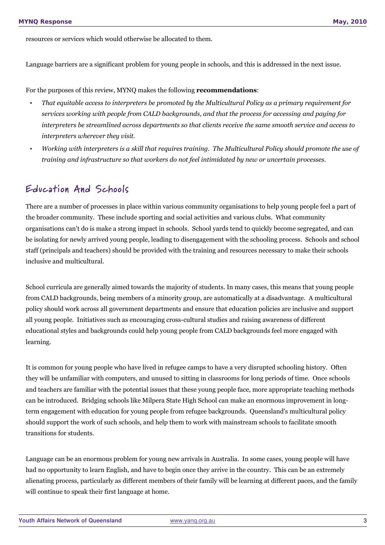resources or services which would otherwise be allocated to them.

Language barriers are a significant problem for young people in schools, and this is addressed in the next issue.

For the purposes of this review, MYNQ makes the following **recommendations**:

- *That equitable access to interpreters be promoted by the Multicultural Policy as a primary requirement for services working with people from CALD backgrounds, and that the process for accessing and paying for interpreters be streamlined across departments so that clients receive the same smooth service and access to interpreters wherever they visit.*
- *Working with interpreters is a skill that requires training. The Multicultural Policy should promote the use of training and infrastructure so that workers do not feel intimidated by new or uncertain processes.*

### <span id="page-5-0"></span>Education And Schools

There are a number of processes in place within various community organisations to help young people feel a part of the broader community. These include sporting and social activities and various clubs. What community organisations can't do is make a strong impact in schools. School yards tend to quickly become segregated, and can be isolating for newly arrived young people, leading to disengagement with the schooling process. Schools and school staff (principals and teachers) should be provided with the training and resources necessary to make their schools inclusive and multicultural.

School curricula are generally aimed towards the majority of students. In many cases, this means that young people from CALD backgrounds, being members of a minority group, are automatically at a disadvantage. A multicultural policy should work across all government departments and ensure that education policies are inclusive and support all young people. Initiatives such as encouraging cross-cultural studies and raising awareness of different educational styles and backgrounds could help young people from CALD backgrounds feel more engaged with learning.

It is common for young people who have lived in refugee camps to have a very disrupted schooling history. Often they will be unfamiliar with computers, and unused to sitting in classrooms for long periods of time. Once schools and teachers are familiar with the potential issues that these young people face, more appropriate teaching methods can be introduced. Bridging schools like Milpera State High School can make an enormous improvement in longterm engagement with education for young people from refugee backgrounds. Queensland's multicultural policy should support the work of such schools, and help them to work with mainstream schools to facilitate smooth transitions for students.

Language can be an enormous problem for young new arrivals in Australia. In some cases, young people will have had no opportunity to learn English, and have to begin once they arrive in the country. This can be an extremely alienating process, particularly as different members of their family will be learning at different paces, and the family will continue to speak their first language at home.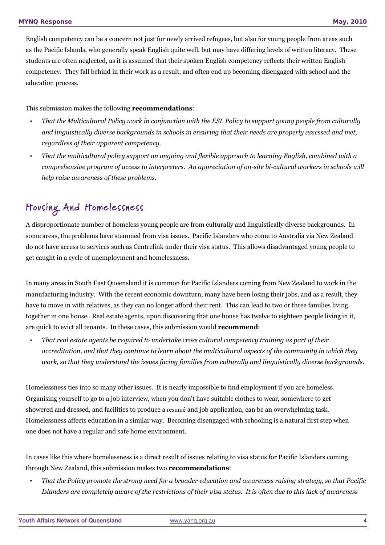English competency can be a concern not just for newly arrived refugees, but also for young people from areas such as the Pacific Islands, who generally speak English quite well, but may have differing levels of written literacy. These students are often neglected, as it is assumed that their spoken English competency reflects their written English competency. They fall behind in their work as a result, and often end up becoming disengaged with school and the education process.

#### This submission makes the following **recommendations**:

- *That the Multicultural Policy work in conjunction with the ESL Policy to support young people from culturally and linguistically diverse backgrounds in schools in ensuring that their needs are properly assessed and met, regardless of their apparent competency.*
- *That the multicultural policy support an ongoing and flexible approach to learning English, combined with a comprehensive program of access to interpreters. An appreciation of on-site bi-cultural workers in schools will help raise awareness of these problems.*

# <span id="page-6-0"></span>Ho using And Homelessness

A disproportionate number of homeless young people are from culturally and linguistically diverse backgrounds. In some areas, the problems have stemmed from visa issues. Pacific Islanders who come to Australia via New Zealand do not have access to services such as Centrelink under their visa status. This allows disadvantaged young people to get caught in a cycle of unemployment and homelessness.

In many areas in South East Queensland it is common for Pacific Islanders coming from New Zealand to work in the manufacturing industry. With the recent economic downturn, many have been losing their jobs, and as a result, they have to move in with relatives, as they can no longer afford their rent. This can lead to two or three families living together in one house. Real estate agents, upon discovering that one house has twelve to eighteen people living in it, are quick to evict all tenants. In these cases, this submission would **recommend**:

• *That real estate agents be required to undertake cross cultural competency training as part of their accreditation, and that they continue to learn about the multicultural aspects of the community in which they work, so that they understand the issues facing families from culturally and linguistically diverse backgrounds.*

Homelessness ties into so many other issues. It is nearly impossible to find employment if you are homeless. Organising yourself to go to a job interview, when you don't have suitable clothes to wear, somewhere to get showered and dressed, and facilities to produce a resumé and job application, can be an overwhelming task. Homelessness affects education in a similar way. Becoming disengaged with schooling is a natural first step when one does not have a regular and safe home environment.

In cases like this where homelessness is a direct result of issues relating to visa status for Pacific Islanders coming through New Zealand, this submission makes two **recommendations**:

• *That the Policy promote the strong need for a broader education and awareness raising strategy, so that Pacific Islanders are completely aware of the restrictions of their visa status. It is often due to this lack of awareness*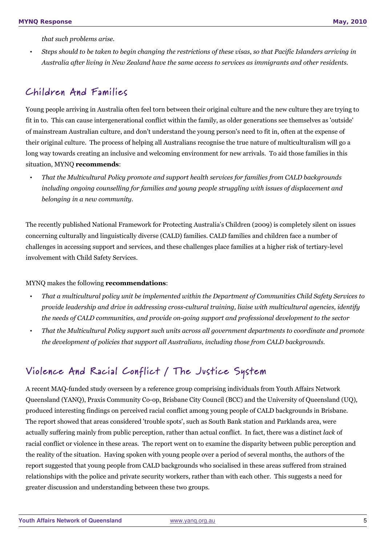*that such problems arise.*

• *Steps should to be taken to begin changing the restrictions of these visas, so that Pacific Islanders arriving in Australia after living in New Zealand have the same access to services as immigrants and other residents.* 

# <span id="page-7-1"></span>Children And Families

Young people arriving in Australia often feel torn between their original culture and the new culture they are trying to fit in to. This can cause intergenerational conflict within the family, as older generations see themselves as 'outside' of mainstream Australian culture, and don't understand the young person's need to fit in, often at the expense of their original culture. The process of helping all Australians recognise the true nature of multiculturalism will go a long way towards creating an inclusive and welcoming environment for new arrivals. To aid those families in this situation, MYNQ **recommends**:

• *That the Multicultural Policy promote and support health services for families from CALD backgrounds including ongoing counselling for families and young people struggling with issues of displacement and belonging in a new community.*

The recently published National Framework for Protecting Australia's Children (2009) is completely silent on issues concerning culturally and linguistically diverse (CALD) families. CALD families and children face a number of challenges in accessing support and services, and these challenges place families at a higher risk of tertiary-level involvement with Child Safety Services.

#### MYNQ makes the following **recommendations**:

- *That a multicultural policy unit be implemented within the Department of Communities Child Safety Services to provide leadership and drive in addressing cross-cultural training, liaise with multicultural agencies, identify the needs of CALD communities, and provide on-going support and professional development to the sector*
- *That the Multicultural Policy support such units across all government departments to coordinate and promote the development of policies that support all Australians, including those from CALD backgrounds.*

# <span id="page-7-0"></span>Violence And Racial Conflict / The Justice System

A recent MAQ-funded study overseen by a reference group comprising individuals from Youth Affairs Network Queensland (YANQ), Praxis Community Co-op, Brisbane City Council (BCC) and the University of Queensland (UQ), produced interesting findings on perceived racial conflict among young people of CALD backgrounds in Brisbane. The report showed that areas considered 'trouble spots', such as South Bank station and Parklands area, were actually suffering mainly from public perception, rather than actual conflict. In fact, there was a distinct *lack* of racial conflict or violence in these areas. The report went on to examine the disparity between public perception and the reality of the situation. Having spoken with young people over a period of several months, the authors of the report suggested that young people from CALD backgrounds who socialised in these areas suffered from strained relationships with the police and private security workers, rather than with each other. This suggests a need for greater discussion and understanding between these two groups.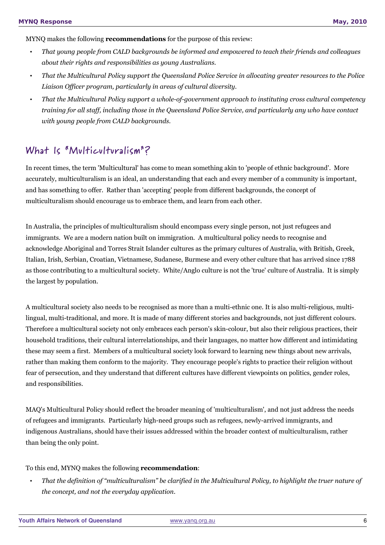MYNQ makes the following **recommendations** for the purpose of this review:

- *That young people from CALD backgrounds be informed and empowered to teach their friends and colleagues about their rights and responsibilities as young Australians.*
- *That the Multicultural Policy support the Queensland Police Service in allocating greater resources to the Police Liaison Officer program, particularly in areas of cultural diversity.*
- *That the Multicultural Policy support a whole-of-government approach to instituting cross cultural competency training for all staff, including those in the Queensland Police Service, and particularly any who have contact with young people from CALD backgrounds.*

# <span id="page-8-0"></span>What Is "Multiculturalism"?

In recent times, the term 'Multicultural' has come to mean something akin to 'people of ethnic background'. More accurately, multiculturalism is an ideal, an understanding that each and every member of a community is important, and has something to offer. Rather than 'accepting' people from different backgrounds, the concept of multiculturalism should encourage us to embrace them, and learn from each other.

In Australia, the principles of multiculturalism should encompass every single person, not just refugees and immigrants. We are a modern nation built on immigration. A multicultural policy needs to recognise and acknowledge Aboriginal and Torres Strait Islander cultures as the primary cultures of Australia, with British, Greek, Italian, Irish, Serbian, Croatian, Vietnamese, Sudanese, Burmese and every other culture that has arrived since 1788 as those contributing to a multicultural society. White/Anglo culture is not the 'true' culture of Australia. It is simply the largest by population.

A multicultural society also needs to be recognised as more than a multi-ethnic one. It is also multi-religious, multilingual, multi-traditional, and more. It is made of many different stories and backgrounds, not just different colours. Therefore a multicultural society not only embraces each person's skin-colour, but also their religious practices, their household traditions, their cultural interrelationships, and their languages, no matter how different and intimidating these may seem a first. Members of a multicultural society look forward to learning new things about new arrivals, rather than making them conform to the majority. They encourage people's rights to practice their religion without fear of persecution, and they understand that different cultures have different viewpoints on politics, gender roles, and responsibilities.

MAQ's Multicultural Policy should reflect the broader meaning of 'multiculturalism', and not just address the needs of refugees and immigrants. Particularly high-need groups such as refugees, newly-arrived immigrants, and indigenous Australians, should have their issues addressed within the broader context of multiculturalism, rather than being the only point.

#### To this end, MYNQ makes the following **recommendation**:

• *That the definition of "multiculturalism" be clarified in the Multicultural Policy, to highlight the truer nature of the concept, and not the everyday application.*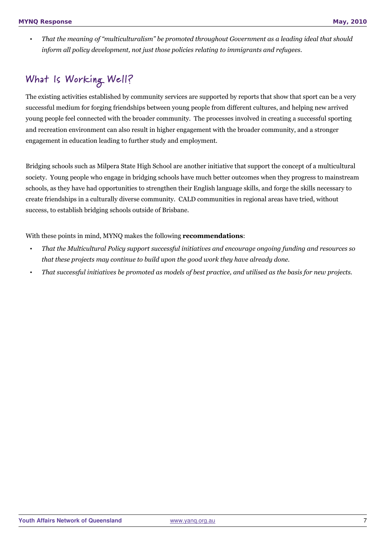• *That the meaning of "multiculturalism" be promoted throughout Government as a leading ideal that should inform all policy development, not just those policies relating to immigrants and refugees.*

# <span id="page-9-0"></span>What Is Working Well?

The existing activities established by community services are supported by reports that show that sport can be a very successful medium for forging friendships between young people from different cultures, and helping new arrived young people feel connected with the broader community. The processes involved in creating a successful sporting and recreation environment can also result in higher engagement with the broader community, and a stronger engagement in education leading to further study and employment.

Bridging schools such as Milpera State High School are another initiative that support the concept of a multicultural society. Young people who engage in bridging schools have much better outcomes when they progress to mainstream schools, as they have had opportunities to strengthen their English language skills, and forge the skills necessary to create friendships in a culturally diverse community. CALD communities in regional areas have tried, without success, to establish bridging schools outside of Brisbane.

With these points in mind, MYNQ makes the following **recommendations**:

- *That the Multicultural Policy support successful initiatives and encourage ongoing funding and resources so that these projects may continue to build upon the good work they have already done.*
- *That successful initiatives be promoted as models of best practice, and utilised as the basis for new projects.*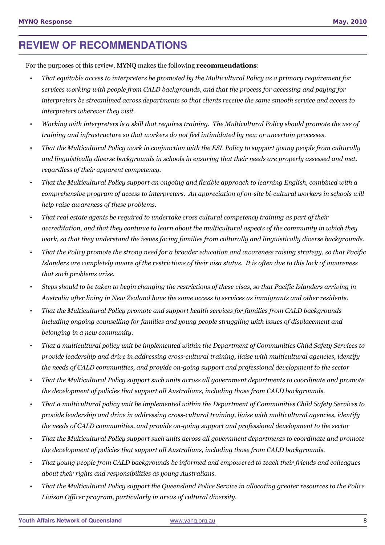# <span id="page-10-0"></span>**REVIEW OF RECOMMENDATIONS**

For the purposes of this review, MYNQ makes the following **recommendations**:

- *That equitable access to interpreters be promoted by the Multicultural Policy as a primary requirement for services working with people from CALD backgrounds, and that the process for accessing and paying for interpreters be streamlined across departments so that clients receive the same smooth service and access to interpreters wherever they visit.*
- *Working with interpreters is a skill that requires training. The Multicultural Policy should promote the use of training and infrastructure so that workers do not feel intimidated by new or uncertain processes.*
- *That the Multicultural Policy work in conjunction with the ESL Policy to support young people from culturally and linguistically diverse backgrounds in schools in ensuring that their needs are properly assessed and met, regardless of their apparent competency.*
- *That the Multicultural Policy support an ongoing and flexible approach to learning English, combined with a comprehensive program of access to interpreters. An appreciation of on-site bi-cultural workers in schools will help raise awareness of these problems.*
- *That real estate agents be required to undertake cross cultural competency training as part of their accreditation, and that they continue to learn about the multicultural aspects of the community in which they work, so that they understand the issues facing families from culturally and linguistically diverse backgrounds.*
- *That the Policy promote the strong need for a broader education and awareness raising strategy, so that Pacific Islanders are completely aware of the restrictions of their visa status. It is often due to this lack of awareness that such problems arise.*
- *Steps should to be taken to begin changing the restrictions of these visas, so that Pacific Islanders arriving in Australia after living in New Zealand have the same access to services as immigrants and other residents.*
- *That the Multicultural Policy promote and support health services for families from CALD backgrounds including ongoing counselling for families and young people struggling with issues of displacement and belonging in a new community.*
- *That a multicultural policy unit be implemented within the Department of Communities Child Safety Services to provide leadership and drive in addressing cross-cultural training, liaise with multicultural agencies, identify the needs of CALD communities, and provide on-going support and professional development to the sector*
- *That the Multicultural Policy support such units across all government departments to coordinate and promote the development of policies that support all Australians, including those from CALD backgrounds.*
- *That a multicultural policy unit be implemented within the Department of Communities Child Safety Services to provide leadership and drive in addressing cross-cultural training, liaise with multicultural agencies, identify the needs of CALD communities, and provide on-going support and professional development to the sector*
- *That the Multicultural Policy support such units across all government departments to coordinate and promote the development of policies that support all Australians, including those from CALD backgrounds.*
- *That young people from CALD backgrounds be informed and empowered to teach their friends and colleagues about their rights and responsibilities as young Australians.*
- *That the Multicultural Policy support the Queensland Police Service in allocating greater resources to the Police Liaison Officer program, particularly in areas of cultural diversity.*